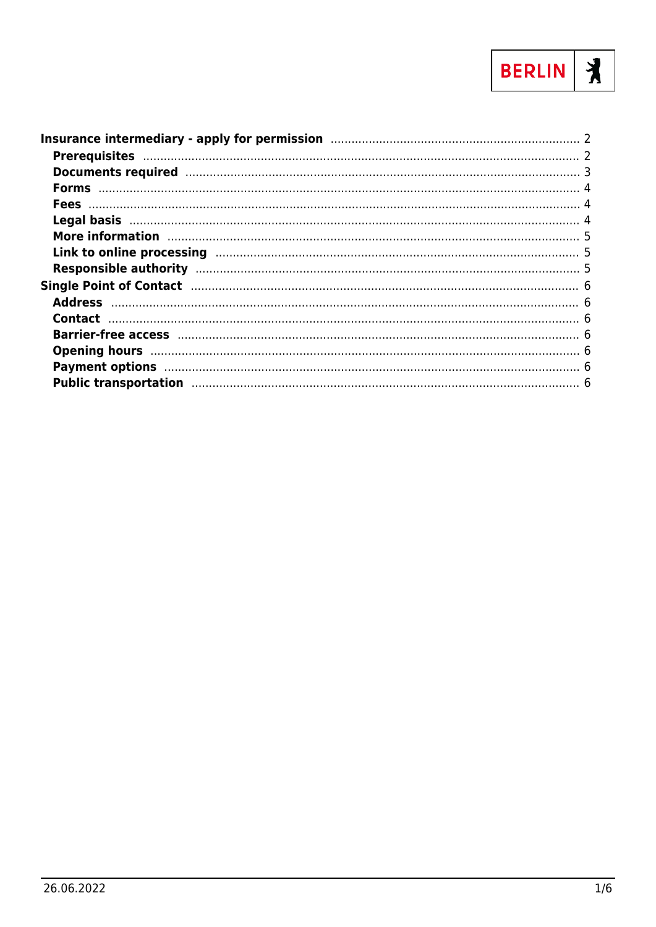

| Documents required manufactured and a 3                                                                                                                                                                                        |  |
|--------------------------------------------------------------------------------------------------------------------------------------------------------------------------------------------------------------------------------|--|
|                                                                                                                                                                                                                                |  |
|                                                                                                                                                                                                                                |  |
|                                                                                                                                                                                                                                |  |
| More information manufactured and the manufactured manufactured manufactured and the manufactured manufactured                                                                                                                 |  |
| Link to online processing manufactured and the control of the processing of the set of the control of the set o                                                                                                                |  |
|                                                                                                                                                                                                                                |  |
|                                                                                                                                                                                                                                |  |
|                                                                                                                                                                                                                                |  |
|                                                                                                                                                                                                                                |  |
|                                                                                                                                                                                                                                |  |
|                                                                                                                                                                                                                                |  |
|                                                                                                                                                                                                                                |  |
| Public transportation manufactured and the control of the control of the control of the control of the control of the control of the control of the control of the control of the control of the control of the control of the |  |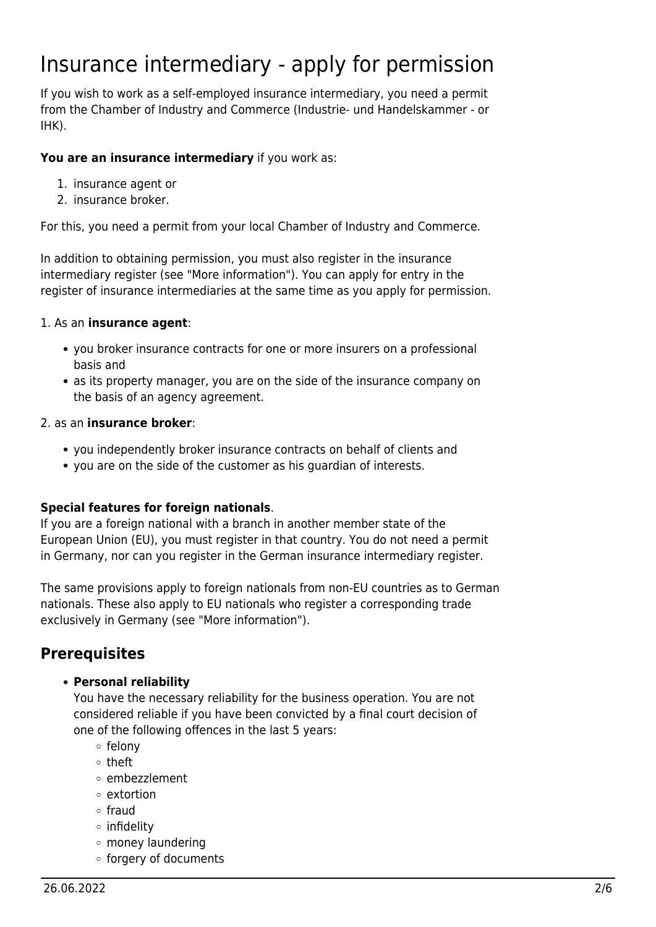# <span id="page-1-0"></span>Insurance intermediary - apply for permission

If you wish to work as a self-employed insurance intermediary, you need a permit from the Chamber of Industry and Commerce (Industrie- und Handelskammer - or IHK).

#### **You are an insurance intermediary** if you work as:

- 1. insurance agent or
- 2. insurance broker.

For this, you need a permit from your local Chamber of Industry and Commerce.

In addition to obtaining permission, you must also register in the insurance intermediary register (see "More information"). You can apply for entry in the register of insurance intermediaries at the same time as you apply for permission.

#### 1. As an **insurance agent**:

- you broker insurance contracts for one or more insurers on a professional basis and
- as its property manager, you are on the side of the insurance company on the basis of an agency agreement.

#### 2. as an **insurance broker**:

- you independently broker insurance contracts on behalf of clients and
- you are on the side of the customer as his guardian of interests.

### **Special features for foreign nationals**.

If you are a foreign national with a branch in another member state of the European Union (EU), you must register in that country. You do not need a permit in Germany, nor can you register in the German insurance intermediary register.

The same provisions apply to foreign nationals from non-EU countries as to German nationals. These also apply to EU nationals who register a corresponding trade exclusively in Germany (see "More information").

# <span id="page-1-1"></span>**Prerequisites**

### **Personal reliability**

You have the necessary reliability for the business operation. You are not considered reliable if you have been convicted by a final court decision of one of the following offences in the last 5 years:

- o felony
- theft
- embezzlement
- extortion
- $\circ$  fraud
- o infidelity
- money laundering
- forgery of documents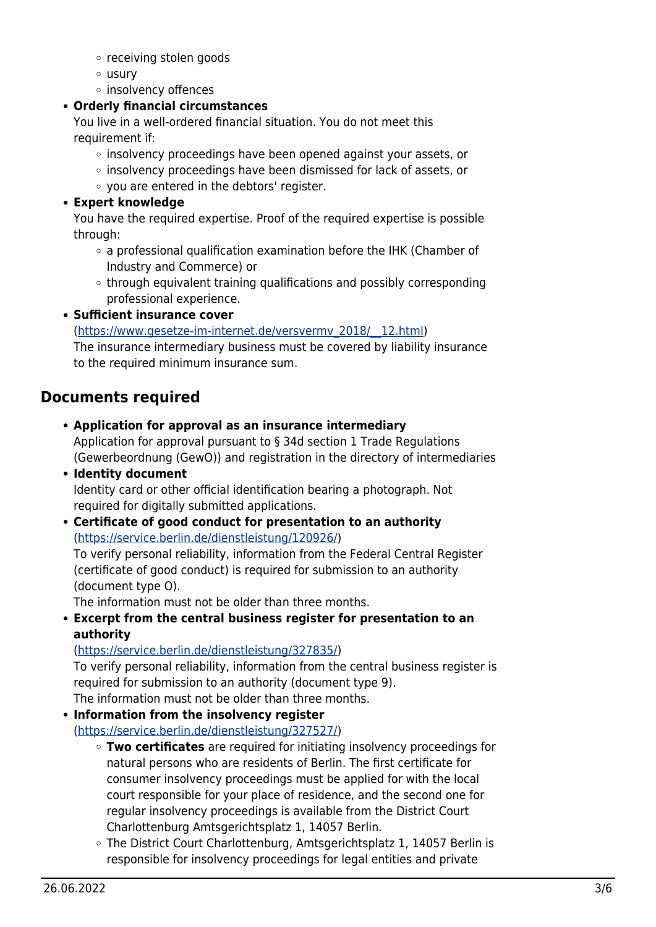- receiving stolen goods
- usury
- o insolvency offences

### **Orderly financial circumstances**

You live in a well-ordered financial situation. You do not meet this requirement if:

- $\circ$  insolvency proceedings have been opened against your assets, or
- $\circ$  insolvency proceedings have been dismissed for lack of assets, or
- you are entered in the debtors' register.

### **Expert knowledge**

You have the required expertise. Proof of the required expertise is possible through:

- $\circ$  a professional qualification examination before the IHK (Chamber of Industry and Commerce) or
- $\circ$  through equivalent training qualifications and possibly corresponding professional experience.

### **Sufficient insurance cover**

([https://www.gesetze-im-internet.de/versvermv\\_2018/\\_\\_12.html](https://www.gesetze-im-internet.de/versvermv_2018/__12.html)) The insurance intermediary business must be covered by liability insurance to the required minimum insurance sum.

# <span id="page-2-0"></span>**Documents required**

**Application for approval as an insurance intermediary**

Application for approval pursuant to § 34d section 1 Trade Regulations (Gewerbeordnung (GewO)) and registration in the directory of intermediaries

**Identity document**

Identity card or other official identification bearing a photograph. Not required for digitally submitted applications.

**Certificate of good conduct for presentation to an authority** (<https://service.berlin.de/dienstleistung/120926/>) To verify personal reliability, information from the Federal Central Register

(certificate of good conduct) is required for submission to an authority (document type O).

The information must not be older than three months.

**Excerpt from the central business register for presentation to an authority**

### (<https://service.berlin.de/dienstleistung/327835/>)

To verify personal reliability, information from the central business register is required for submission to an authority (document type 9). The information must not be older than three months.

**Information from the insolvency register**

(<https://service.berlin.de/dienstleistung/327527/>)

- **Two certificates** are required for initiating insolvency proceedings for natural persons who are residents of Berlin. The first certificate for consumer insolvency proceedings must be applied for with the local court responsible for your place of residence, and the second one for regular insolvency proceedings is available from the District Court Charlottenburg Amtsgerichtsplatz 1, 14057 Berlin.
- The District Court Charlottenburg, Amtsgerichtsplatz 1, 14057 Berlin is responsible for insolvency proceedings for legal entities and private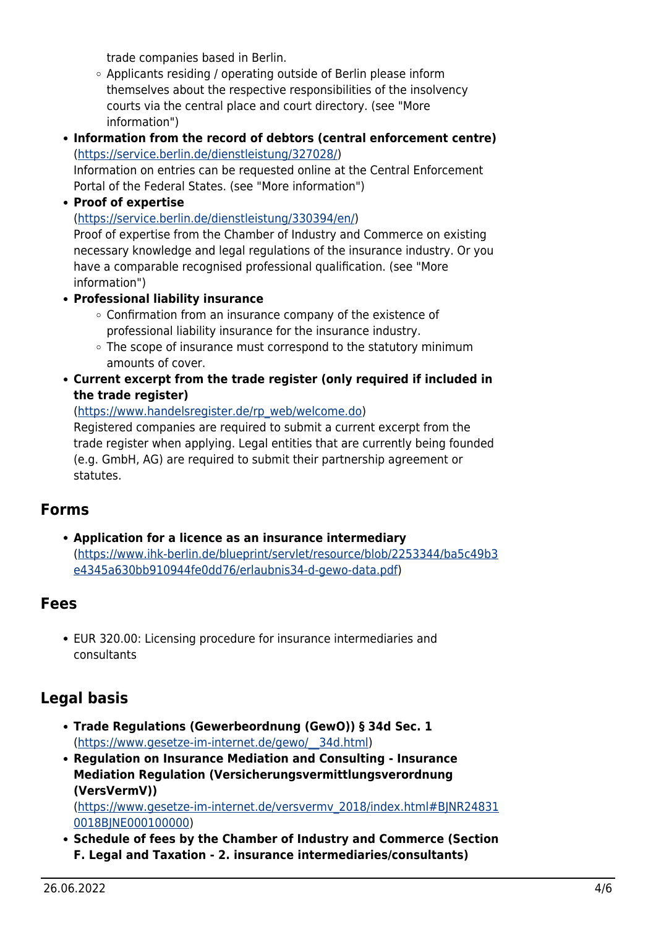trade companies based in Berlin.

- Applicants residing / operating outside of Berlin please inform themselves about the respective responsibilities of the insolvency courts via the central place and court directory. (see "More information")
- **Information from the record of debtors (central enforcement centre)** (<https://service.berlin.de/dienstleistung/327028/>)

Information on entries can be requested online at the Central Enforcement Portal of the Federal States. (see "More information")

**Proof of expertise**

([https://service.berlin.de/dienstleistung/330394/en/\)](https://service.berlin.de/dienstleistung/330394/en/)

Proof of expertise from the Chamber of Industry and Commerce on existing necessary knowledge and legal regulations of the insurance industry. Or you have a comparable recognised professional qualification. (see "More information")

- **Professional liability insurance**
	- Confirmation from an insurance company of the existence of professional liability insurance for the insurance industry.
	- $\circ$  The scope of insurance must correspond to the statutory minimum amounts of cover.
- **Current excerpt from the trade register (only required if included in the trade register)**

([https://www.handelsregister.de/rp\\_web/welcome.do\)](https://www.handelsregister.de/rp_web/welcome.do)

Registered companies are required to submit a current excerpt from the trade register when applying. Legal entities that are currently being founded (e.g. GmbH, AG) are required to submit their partnership agreement or statutes.

# <span id="page-3-0"></span>**Forms**

**Application for a licence as an insurance intermediary** ([https://www.ihk-berlin.de/blueprint/servlet/resource/blob/2253344/ba5c49b3](https://www.ihk-berlin.de/blueprint/servlet/resource/blob/2253344/ba5c49b3e4345a630bb910944fe0dd76/erlaubnis34-d-gewo-data.pdf) [e4345a630bb910944fe0dd76/erlaubnis34-d-gewo-data.pdf\)](https://www.ihk-berlin.de/blueprint/servlet/resource/blob/2253344/ba5c49b3e4345a630bb910944fe0dd76/erlaubnis34-d-gewo-data.pdf)

### <span id="page-3-1"></span>**Fees**

EUR 320.00: Licensing procedure for insurance intermediaries and consultants

# <span id="page-3-2"></span>**Legal basis**

- **Trade Regulations (Gewerbeordnung (GewO)) § 34d Sec. 1** ([https://www.gesetze-im-internet.de/gewo/\\_\\_34d.html](https://www.gesetze-im-internet.de/gewo/__34d.html))
- **Regulation on Insurance Mediation and Consulting Insurance Mediation Regulation (Versicherungsvermittlungsverordnung (VersVermV))**

([https://www.gesetze-im-internet.de/versvermv\\_2018/index.html#BJNR24831](https://www.gesetze-im-internet.de/versvermv_2018/index.html#BJNR248310018BJNE000100000) [0018BJNE000100000\)](https://www.gesetze-im-internet.de/versvermv_2018/index.html#BJNR248310018BJNE000100000)

**Schedule of fees by the Chamber of Industry and Commerce (Section F. Legal and Taxation - 2. insurance intermediaries/consultants)**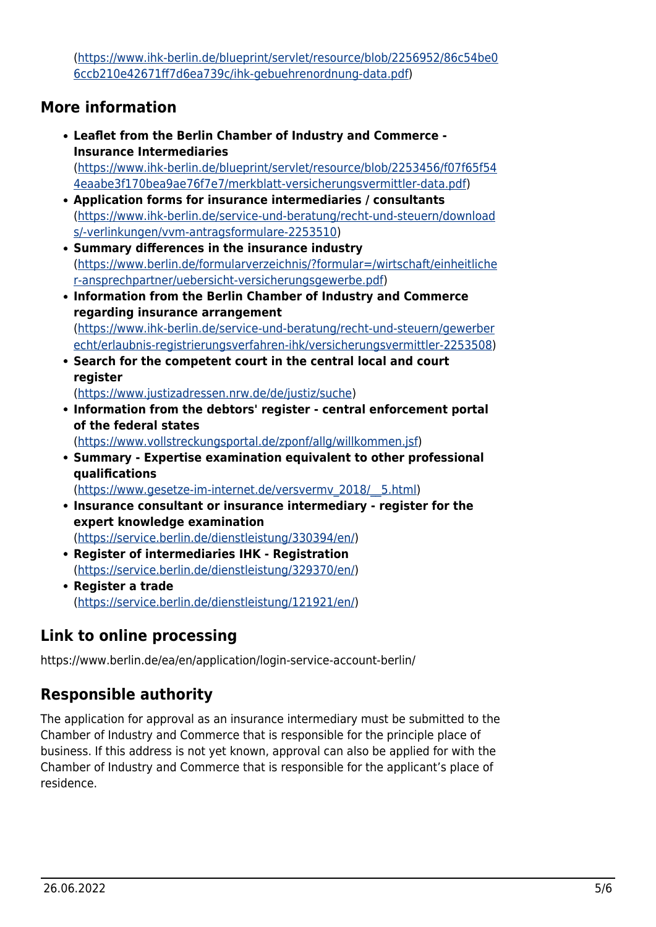([https://www.ihk-berlin.de/blueprint/servlet/resource/blob/2256952/86c54be0](https://www.ihk-berlin.de/blueprint/servlet/resource/blob/2256952/86c54be06ccb210e42671ff7d6ea739c/ihk-gebuehrenordnung-data.pdf) [6ccb210e42671ff7d6ea739c/ihk-gebuehrenordnung-data.pdf\)](https://www.ihk-berlin.de/blueprint/servlet/resource/blob/2256952/86c54be06ccb210e42671ff7d6ea739c/ihk-gebuehrenordnung-data.pdf)

### <span id="page-4-0"></span>**More information**

- **Leaflet from the Berlin Chamber of Industry and Commerce - Insurance Intermediaries** ([https://www.ihk-berlin.de/blueprint/servlet/resource/blob/2253456/f07f65f54](https://www.ihk-berlin.de/blueprint/servlet/resource/blob/2253456/f07f65f544eaabe3f170bea9ae76f7e7/merkblatt-versicherungsvermittler-data.pdf) [4eaabe3f170bea9ae76f7e7/merkblatt-versicherungsvermittler-data.pdf](https://www.ihk-berlin.de/blueprint/servlet/resource/blob/2253456/f07f65f544eaabe3f170bea9ae76f7e7/merkblatt-versicherungsvermittler-data.pdf))
- **Application forms for insurance intermediaries / consultants** ([https://www.ihk-berlin.de/service-und-beratung/recht-und-steuern/download](https://www.ihk-berlin.de/service-und-beratung/recht-und-steuern/downloads/-verlinkungen/vvm-antragsformulare-2253510) [s/-verlinkungen/vvm-antragsformulare-2253510\)](https://www.ihk-berlin.de/service-und-beratung/recht-und-steuern/downloads/-verlinkungen/vvm-antragsformulare-2253510)
- **Summary differences in the insurance industry** ([https://www.berlin.de/formularverzeichnis/?formular=/wirtschaft/einheitliche](https://www.berlin.de/formularverzeichnis/?formular=/wirtschaft/einheitlicher-ansprechpartner/uebersicht-versicherungsgewerbe.pdf) [r-ansprechpartner/uebersicht-versicherungsgewerbe.pdf](https://www.berlin.de/formularverzeichnis/?formular=/wirtschaft/einheitlicher-ansprechpartner/uebersicht-versicherungsgewerbe.pdf))
- **Information from the Berlin Chamber of Industry and Commerce regarding insurance arrangement** ([https://www.ihk-berlin.de/service-und-beratung/recht-und-steuern/gewerber](https://www.ihk-berlin.de/service-und-beratung/recht-und-steuern/gewerberecht/erlaubnis-registrierungsverfahren-ihk/versicherungsvermittler-2253508) [echt/erlaubnis-registrierungsverfahren-ihk/versicherungsvermittler-2253508\)](https://www.ihk-berlin.de/service-und-beratung/recht-und-steuern/gewerberecht/erlaubnis-registrierungsverfahren-ihk/versicherungsvermittler-2253508)
- **Search for the competent court in the central local and court register**

([https://www.justizadressen.nrw.de/de/justiz/suche\)](https://www.justizadressen.nrw.de/de/justiz/suche)

**Information from the debtors' register - central enforcement portal of the federal states**

(<https://www.vollstreckungsportal.de/zponf/allg/willkommen.jsf>)

**Summary - Expertise examination equivalent to other professional qualifications**

([https://www.gesetze-im-internet.de/versvermv\\_2018/\\_\\_5.html](https://www.gesetze-im-internet.de/versvermv_2018/__5.html))

- **Insurance consultant or insurance intermediary register for the expert knowledge examination** ([https://service.berlin.de/dienstleistung/330394/en/\)](https://service.berlin.de/dienstleistung/330394/en/)
- **Register of intermediaries IHK Registration** ([https://service.berlin.de/dienstleistung/329370/en/\)](https://service.berlin.de/dienstleistung/329370/en/)
- **Register a trade** ([https://service.berlin.de/dienstleistung/121921/en/\)](https://service.berlin.de/dienstleistung/121921/en/)

# <span id="page-4-1"></span>**Link to online processing**

https://www.berlin.de/ea/en/application/login-service-account-berlin/

# <span id="page-4-2"></span>**Responsible authority**

The application for approval as an insurance intermediary must be submitted to the Chamber of Industry and Commerce that is responsible for the principle place of business. If this address is not yet known, approval can also be applied for with the Chamber of Industry and Commerce that is responsible for the applicant's place of residence.